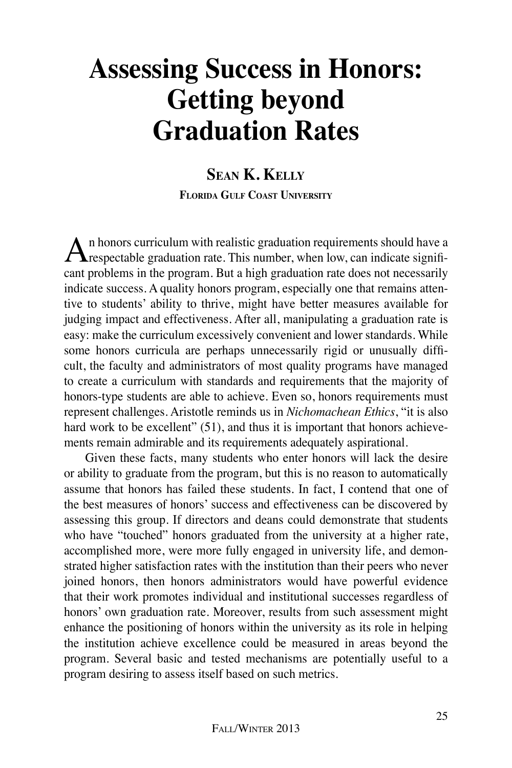# **Assessing Success in Honors: Getting beyond Graduation Rates**

# **Sean K. Kelly Florida Gulf Coast University**

An honors curriculum with realistic graduation requirements should have a **T** respectable graduation rate. This number, when low, can indicate significant problems in the program. But a high graduation rate does not necessarily indicate success. A quality honors program, especially one that remains attentive to students' ability to thrive, might have better measures available for judging impact and effectiveness. After all, manipulating a graduation rate is easy: make the curriculum excessively convenient and lower standards. While some honors curricula are perhaps unnecessarily rigid or unusually difficult, the faculty and administrators of most quality programs have managed to create a curriculum with standards and requirements that the majority of honors-type students are able to achieve. Even so, honors requirements must represent challenges. Aristotle reminds us in *Nichomachean Ethics*, "it is also hard work to be excellent" (51), and thus it is important that honors achievements remain admirable and its requirements adequately aspirational.

Given these facts, many students who enter honors will lack the desire or ability to graduate from the program, but this is no reason to automatically assume that honors has failed these students. In fact, I contend that one of the best measures of honors' success and effectiveness can be discovered by assessing this group. If directors and deans could demonstrate that students who have "touched" honors graduated from the university at a higher rate, accomplished more, were more fully engaged in university life, and demonstrated higher satisfaction rates with the institution than their peers who never joined honors, then honors administrators would have powerful evidence that their work promotes individual and institutional successes regardless of honors' own graduation rate. Moreover, results from such assessment might enhance the positioning of honors within the university as its role in helping the institution achieve excellence could be measured in areas beyond the program. Several basic and tested mechanisms are potentially useful to a program desiring to assess itself based on such metrics.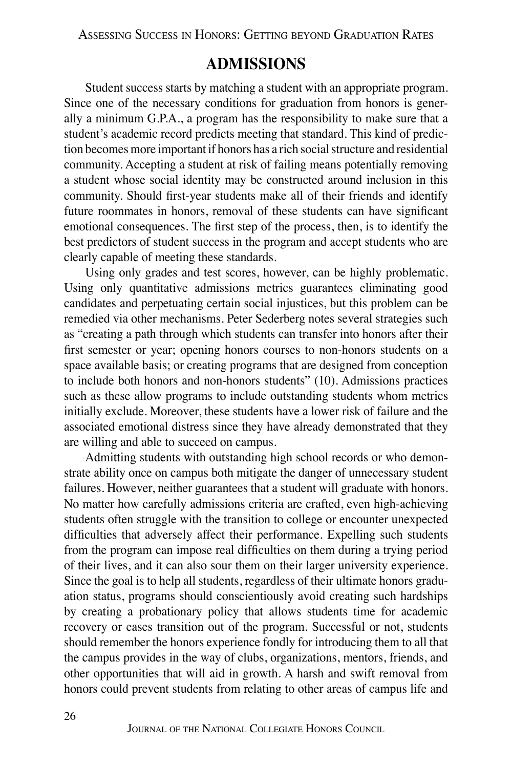Assessing Success in Honors: Getting beyond Graduation Rates

# **Admissions**

Student success starts by matching a student with an appropriate program. Since one of the necessary conditions for graduation from honors is generally a minimum G.P.A., a program has the responsibility to make sure that a student's academic record predicts meeting that standard. This kind of prediction becomes more important if honors has a rich social structure and residential community. Accepting a student at risk of failing means potentially removing a student whose social identity may be constructed around inclusion in this community. Should first-year students make all of their friends and identify future roommates in honors, removal of these students can have significant emotional consequences. The first step of the process, then, is to identify the best predictors of student success in the program and accept students who are clearly capable of meeting these standards.

Using only grades and test scores, however, can be highly problematic. Using only quantitative admissions metrics guarantees eliminating good candidates and perpetuating certain social injustices, but this problem can be remedied via other mechanisms. Peter Sederberg notes several strategies such as "creating a path through which students can transfer into honors after their first semester or year; opening honors courses to non-honors students on a space available basis; or creating programs that are designed from conception to include both honors and non-honors students" (10). Admissions practices such as these allow programs to include outstanding students whom metrics initially exclude. Moreover, these students have a lower risk of failure and the associated emotional distress since they have already demonstrated that they are willing and able to succeed on campus.

Admitting students with outstanding high school records or who demonstrate ability once on campus both mitigate the danger of unnecessary student failures. However, neither guarantees that a student will graduate with honors. No matter how carefully admissions criteria are crafted, even high-achieving students often struggle with the transition to college or encounter unexpected difficulties that adversely affect their performance. Expelling such students from the program can impose real difficulties on them during a trying period of their lives, and it can also sour them on their larger university experience. Since the goal is to help all students, regardless of their ultimate honors graduation status, programs should conscientiously avoid creating such hardships by creating a probationary policy that allows students time for academic recovery or eases transition out of the program. Successful or not, students should remember the honors experience fondly for introducing them to all that the campus provides in the way of clubs, organizations, mentors, friends, and other opportunities that will aid in growth. A harsh and swift removal from honors could prevent students from relating to other areas of campus life and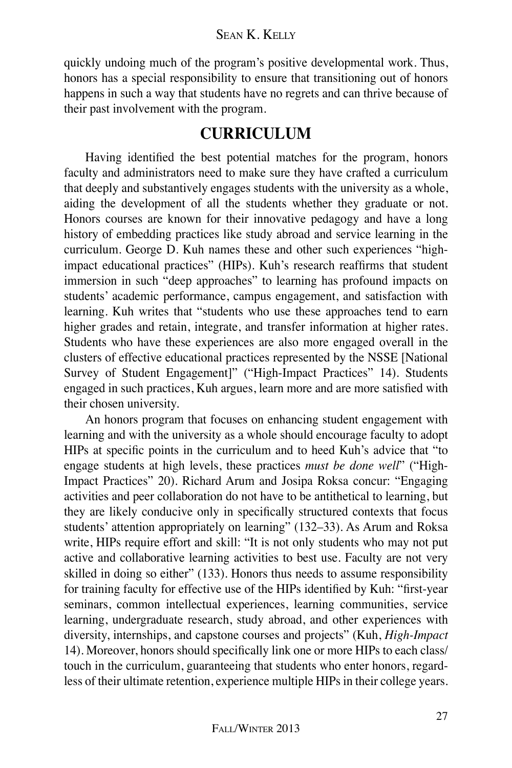quickly undoing much of the program's positive developmental work. Thus, honors has a special responsibility to ensure that transitioning out of honors happens in such a way that students have no regrets and can thrive because of their past involvement with the program.

# **Curriculum**

Having identified the best potential matches for the program, honors faculty and administrators need to make sure they have crafted a curriculum that deeply and substantively engages students with the university as a whole, aiding the development of all the students whether they graduate or not. Honors courses are known for their innovative pedagogy and have a long history of embedding practices like study abroad and service learning in the curriculum. George D. Kuh names these and other such experiences "highimpact educational practices" (HIPs). Kuh's research reaffirms that student immersion in such "deep approaches" to learning has profound impacts on students' academic performance, campus engagement, and satisfaction with learning. Kuh writes that "students who use these approaches tend to earn higher grades and retain, integrate, and transfer information at higher rates. Students who have these experiences are also more engaged overall in the clusters of effective educational practices represented by the NSSE [National Survey of Student Engagement]" ("High-Impact Practices" 14). Students engaged in such practices, Kuh argues, learn more and are more satisfied with their chosen university.

An honors program that focuses on enhancing student engagement with learning and with the university as a whole should encourage faculty to adopt HIPs at specific points in the curriculum and to heed Kuh's advice that "to engage students at high levels, these practices *must be done well*" ("High-Impact Practices" 20). Richard Arum and Josipa Roksa concur: "Engaging activities and peer collaboration do not have to be antithetical to learning, but they are likely conducive only in specifically structured contexts that focus students' attention appropriately on learning" (132–33). As Arum and Roksa write, HIPs require effort and skill: "It is not only students who may not put active and collaborative learning activities to best use. Faculty are not very skilled in doing so either" (133). Honors thus needs to assume responsibility for training faculty for effective use of the HIPs identified by Kuh: "first-year seminars, common intellectual experiences, learning communities, service learning, undergraduate research, study abroad, and other experiences with diversity, internships, and capstone courses and projects" (Kuh, *High-Impact* 14). Moreover, honors should specifically link one or more HIPs to each class/ touch in the curriculum, guaranteeing that students who enter honors, regardless of their ultimate retention, experience multiple HIPs in their college years.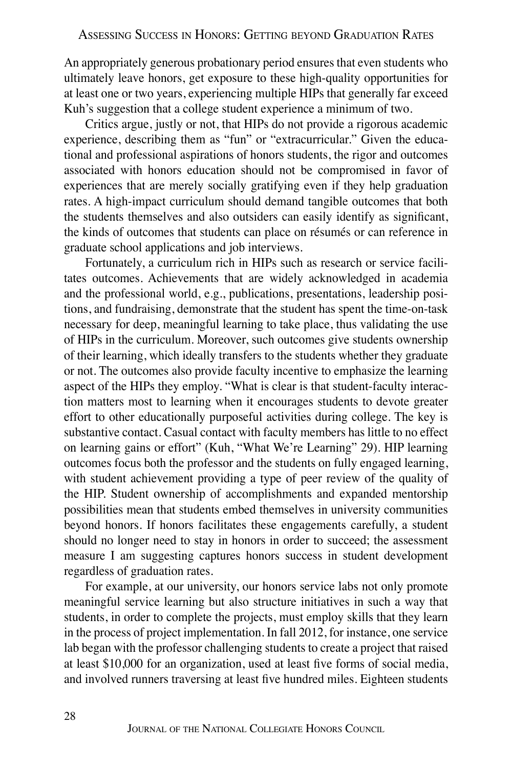An appropriately generous probationary period ensures that even students who ultimately leave honors, get exposure to these high-quality opportunities for at least one or two years, experiencing multiple HIPs that generally far exceed Kuh's suggestion that a college student experience a minimum of two.

Critics argue, justly or not, that HIPs do not provide a rigorous academic experience, describing them as "fun" or "extracurricular." Given the educational and professional aspirations of honors students, the rigor and outcomes associated with honors education should not be compromised in favor of experiences that are merely socially gratifying even if they help graduation rates. A high-impact curriculum should demand tangible outcomes that both the students themselves and also outsiders can easily identify as significant, the kinds of outcomes that students can place on résumés or can reference in graduate school applications and job interviews.

Fortunately, a curriculum rich in HIPs such as research or service facilitates outcomes. Achievements that are widely acknowledged in academia and the professional world, e.g., publications, presentations, leadership positions, and fundraising, demonstrate that the student has spent the time-on-task necessary for deep, meaningful learning to take place, thus validating the use of HIPs in the curriculum. Moreover, such outcomes give students ownership of their learning, which ideally transfers to the students whether they graduate or not. The outcomes also provide faculty incentive to emphasize the learning aspect of the HIPs they employ. "What is clear is that student-faculty interaction matters most to learning when it encourages students to devote greater effort to other educationally purposeful activities during college. The key is substantive contact. Casual contact with faculty members has little to no effect on learning gains or effort" (Kuh, "What We're Learning" 29). HIP learning outcomes focus both the professor and the students on fully engaged learning, with student achievement providing a type of peer review of the quality of the HIP. Student ownership of accomplishments and expanded mentorship possibilities mean that students embed themselves in university communities beyond honors. If honors facilitates these engagements carefully, a student should no longer need to stay in honors in order to succeed; the assessment measure I am suggesting captures honors success in student development regardless of graduation rates.

For example, at our university, our honors service labs not only promote meaningful service learning but also structure initiatives in such a way that students, in order to complete the projects, must employ skills that they learn in the process of project implementation. In fall 2012, for instance, one service lab began with the professor challenging students to create a project that raised at least \$10,000 for an organization, used at least five forms of social media, and involved runners traversing at least five hundred miles. Eighteen students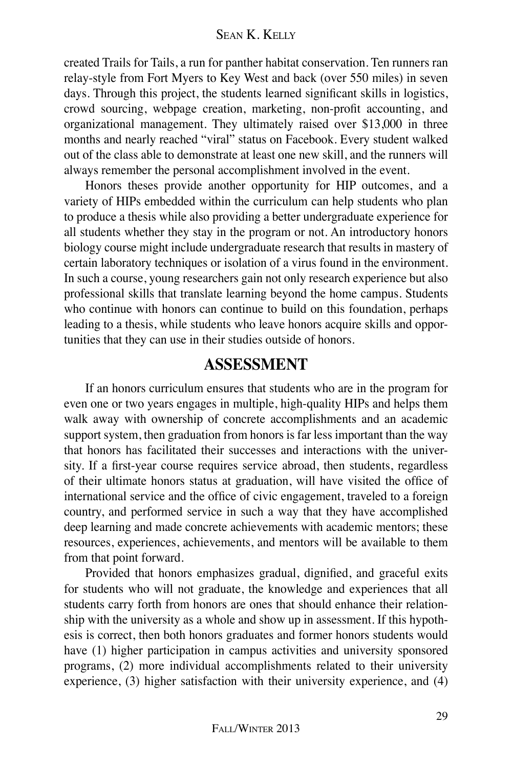#### Sean K. Kelly

created Trails for Tails, a run for panther habitat conservation. Ten runners ran relay-style from Fort Myers to Key West and back (over 550 miles) in seven days. Through this project, the students learned significant skills in logistics, crowd sourcing, webpage creation, marketing, non-profit accounting, and organizational management. They ultimately raised over \$13,000 in three months and nearly reached "viral" status on Facebook. Every student walked out of the class able to demonstrate at least one new skill, and the runners will always remember the personal accomplishment involved in the event.

Honors theses provide another opportunity for HIP outcomes, and a variety of HIPs embedded within the curriculum can help students who plan to produce a thesis while also providing a better undergraduate experience for all students whether they stay in the program or not. An introductory honors biology course might include undergraduate research that results in mastery of certain laboratory techniques or isolation of a virus found in the environment. In such a course, young researchers gain not only research experience but also professional skills that translate learning beyond the home campus. Students who continue with honors can continue to build on this foundation, perhaps leading to a thesis, while students who leave honors acquire skills and opportunities that they can use in their studies outside of honors.

### **Assessment**

If an honors curriculum ensures that students who are in the program for even one or two years engages in multiple, high-quality HIPs and helps them walk away with ownership of concrete accomplishments and an academic support system, then graduation from honors is far less important than the way that honors has facilitated their successes and interactions with the university. If a first-year course requires service abroad, then students, regardless of their ultimate honors status at graduation, will have visited the office of international service and the office of civic engagement, traveled to a foreign country, and performed service in such a way that they have accomplished deep learning and made concrete achievements with academic mentors; these resources, experiences, achievements, and mentors will be available to them from that point forward.

Provided that honors emphasizes gradual, dignified, and graceful exits for students who will not graduate, the knowledge and experiences that all students carry forth from honors are ones that should enhance their relationship with the university as a whole and show up in assessment. If this hypothesis is correct, then both honors graduates and former honors students would have (1) higher participation in campus activities and university sponsored programs, (2) more individual accomplishments related to their university experience, (3) higher satisfaction with their university experience, and (4)